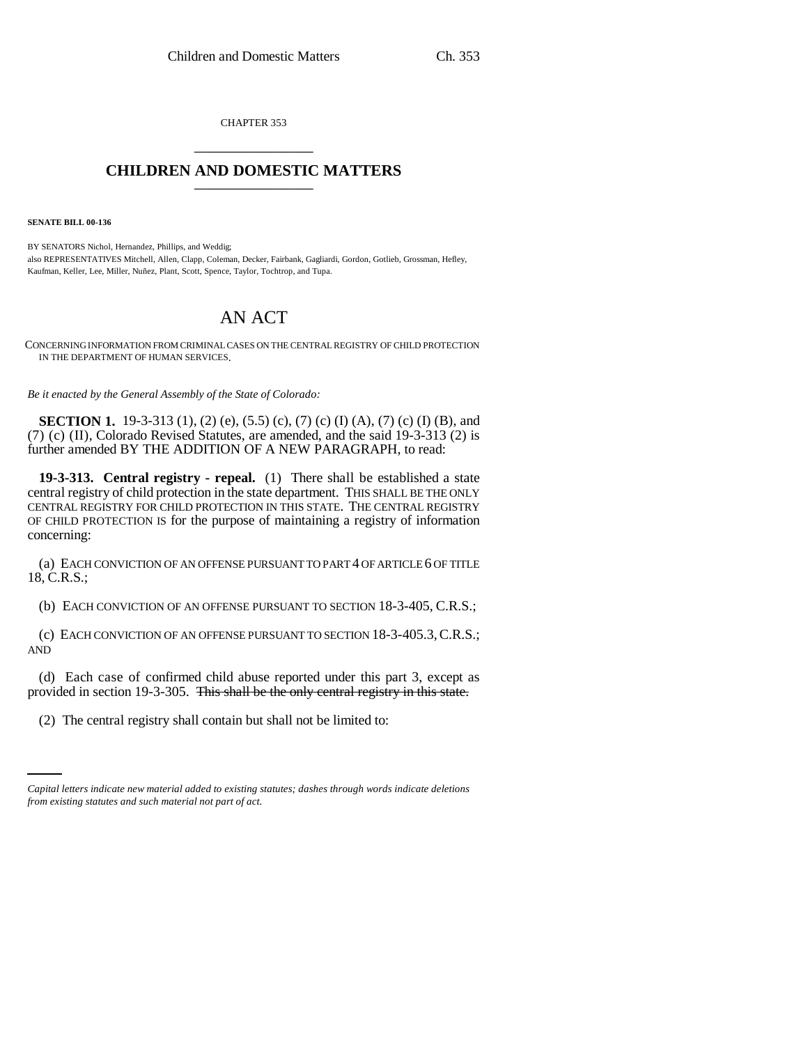CHAPTER 353 \_\_\_\_\_\_\_\_\_\_\_\_\_\_\_

## **CHILDREN AND DOMESTIC MATTERS** \_\_\_\_\_\_\_\_\_\_\_\_\_\_\_

**SENATE BILL 00-136** 

BY SENATORS Nichol, Hernandez, Phillips, and Weddig; also REPRESENTATIVES Mitchell, Allen, Clapp, Coleman, Decker, Fairbank, Gagliardi, Gordon, Gotlieb, Grossman, Hefley, Kaufman, Keller, Lee, Miller, Nuñez, Plant, Scott, Spence, Taylor, Tochtrop, and Tupa.

## AN ACT

CONCERNING INFORMATION FROM CRIMINAL CASES ON THE CENTRAL REGISTRY OF CHILD PROTECTION IN THE DEPARTMENT OF HUMAN SERVICES.

*Be it enacted by the General Assembly of the State of Colorado:*

**SECTION 1.** 19-3-313 (1), (2) (e), (5.5) (c), (7) (c) (I) (A), (7) (c) (I) (B), and (7) (c) (II), Colorado Revised Statutes, are amended, and the said 19-3-313 (2) is further amended BY THE ADDITION OF A NEW PARAGRAPH, to read:

**19-3-313. Central registry - repeal.** (1) There shall be established a state central registry of child protection in the state department. THIS SHALL BE THE ONLY CENTRAL REGISTRY FOR CHILD PROTECTION IN THIS STATE. THE CENTRAL REGISTRY OF CHILD PROTECTION IS for the purpose of maintaining a registry of information concerning:

(a) EACH CONVICTION OF AN OFFENSE PURSUANT TO PART 4 OF ARTICLE 6 OF TITLE 18, C.R.S.;

(b) EACH CONVICTION OF AN OFFENSE PURSUANT TO SECTION 18-3-405, C.R.S.;

(c) EACH CONVICTION OF AN OFFENSE PURSUANT TO SECTION 18-3-405.3,C.R.S.; AND

 $\mathbf{r}$ (d) Each case of confirmed child abuse reported under this part 3, except as provided in section 19-3-305. This shall be the only central registry in this state.

(2) The central registry shall contain but shall not be limited to:

*Capital letters indicate new material added to existing statutes; dashes through words indicate deletions from existing statutes and such material not part of act.*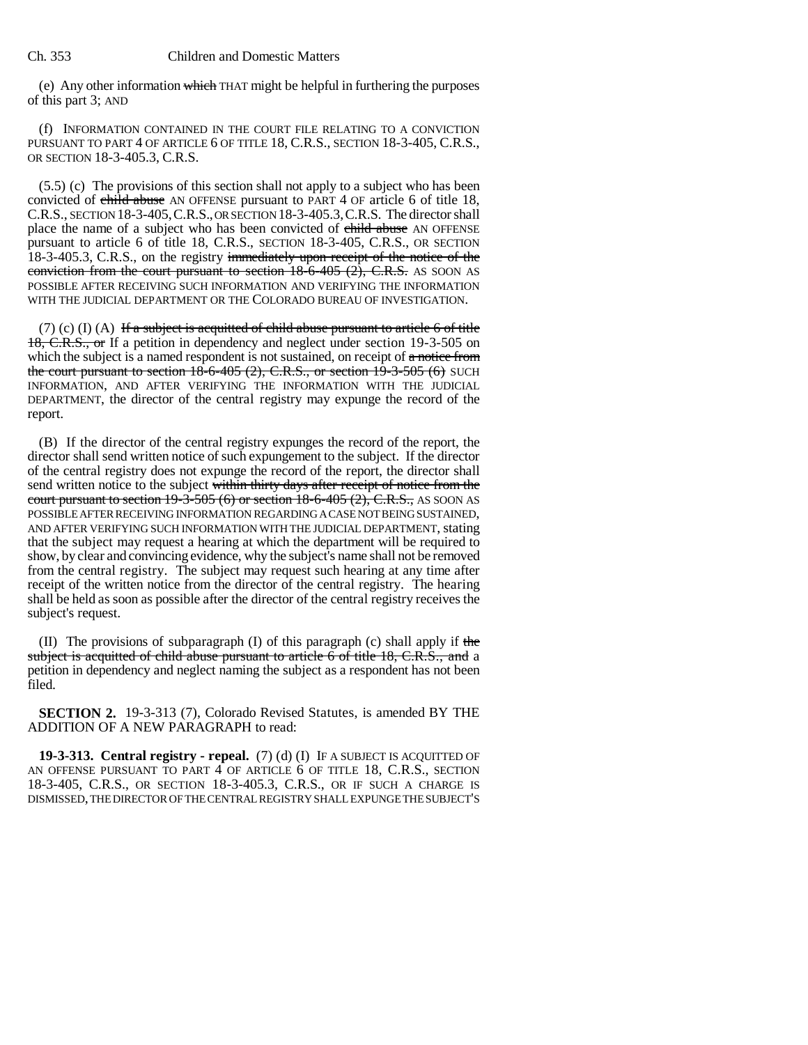(e) Any other information which THAT might be helpful in furthering the purposes of this part 3; AND

(f) INFORMATION CONTAINED IN THE COURT FILE RELATING TO A CONVICTION PURSUANT TO PART 4 OF ARTICLE 6 OF TITLE 18, C.R.S., SECTION 18-3-405, C.R.S., OR SECTION 18-3-405.3, C.R.S.

(5.5) (c) The provisions of this section shall not apply to a subject who has been convicted of child abuse AN OFFENSE pursuant to PART 4 OF article 6 of title 18, C.R.S., SECTION 18-3-405,C.R.S., OR SECTION 18-3-405.3,C.R.S. The director shall place the name of a subject who has been convicted of child abuse AN OFFENSE pursuant to article 6 of title 18, C.R.S., SECTION 18-3-405, C.R.S., OR SECTION 18-3-405.3, C.R.S., on the registry immediately upon receipt of the notice of the conviction from the court pursuant to section  $18-6-405$  (2), C.R.S. AS SOON AS POSSIBLE AFTER RECEIVING SUCH INFORMATION AND VERIFYING THE INFORMATION WITH THE JUDICIAL DEPARTMENT OR THE COLORADO BUREAU OF INVESTIGATION.

(7) (c) (I) (A) If a subject is acquitted of child abuse pursuant to article 6 of title 18, C.R.S., or If a petition in dependency and neglect under section 19-3-505 on which the subject is a named respondent is not sustained, on receipt of a notice from the court pursuant to section  $18-6-405$  (2), C.R.S., or section  $19-3-505$  (6) SUCH INFORMATION, AND AFTER VERIFYING THE INFORMATION WITH THE JUDICIAL DEPARTMENT, the director of the central registry may expunge the record of the report.

(B) If the director of the central registry expunges the record of the report, the director shall send written notice of such expungement to the subject. If the director of the central registry does not expunge the record of the report, the director shall send written notice to the subject within thirty days after receipt of notice from the court pursuant to section  $19-3-505$  (6) or section  $18-6-405$  (2), C.R.S., AS SOON AS POSSIBLE AFTER RECEIVING INFORMATION REGARDING A CASE NOT BEING SUSTAINED, AND AFTER VERIFYING SUCH INFORMATION WITH THE JUDICIAL DEPARTMENT, stating that the subject may request a hearing at which the department will be required to show, by clear and convincing evidence, why the subject's name shall not be removed from the central registry. The subject may request such hearing at any time after receipt of the written notice from the director of the central registry. The hearing shall be held as soon as possible after the director of the central registry receives the subject's request.

(II) The provisions of subparagraph (I) of this paragraph (c) shall apply if the subject is acquitted of child abuse pursuant to article 6 of title 18, C.R.S., and a petition in dependency and neglect naming the subject as a respondent has not been filed.

**SECTION 2.** 19-3-313 (7), Colorado Revised Statutes, is amended BY THE ADDITION OF A NEW PARAGRAPH to read:

**19-3-313. Central registry - repeal.** (7) (d) (I) IF A SUBJECT IS ACQUITTED OF AN OFFENSE PURSUANT TO PART 4 OF ARTICLE 6 OF TITLE 18, C.R.S., SECTION 18-3-405, C.R.S., OR SECTION 18-3-405.3, C.R.S., OR IF SUCH A CHARGE IS DISMISSED, THE DIRECTOR OF THE CENTRAL REGISTRY SHALL EXPUNGE THE SUBJECT'S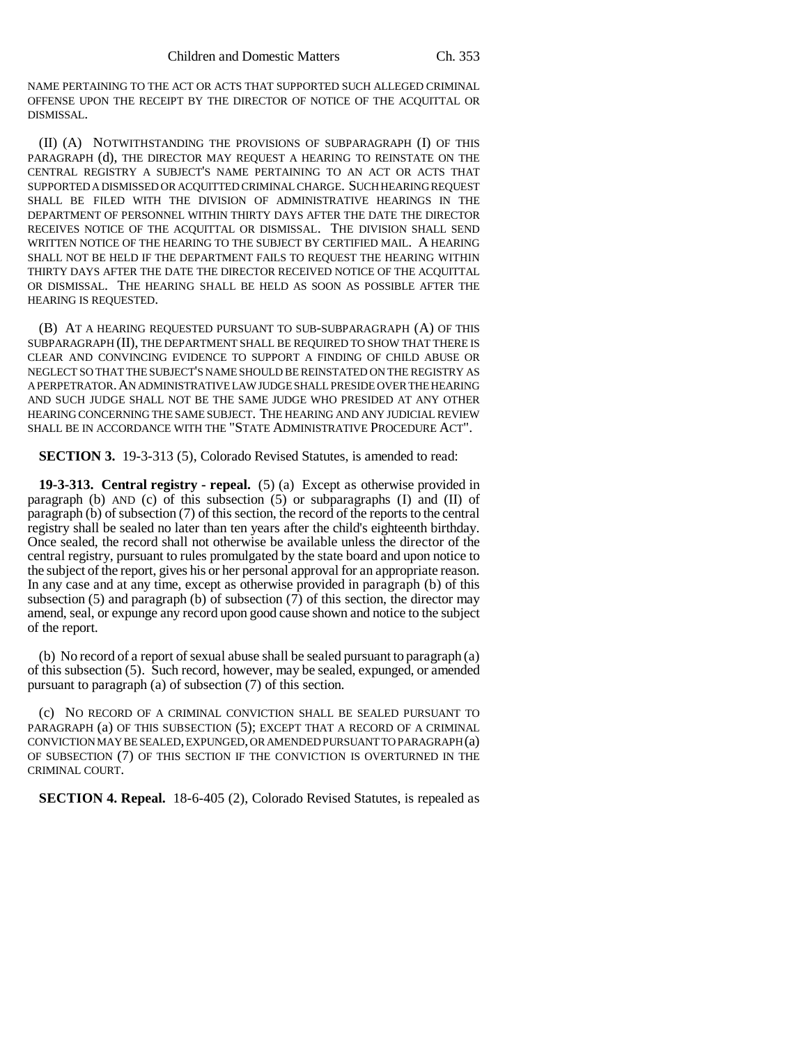NAME PERTAINING TO THE ACT OR ACTS THAT SUPPORTED SUCH ALLEGED CRIMINAL OFFENSE UPON THE RECEIPT BY THE DIRECTOR OF NOTICE OF THE ACQUITTAL OR DISMISSAL.

(II) (A) NOTWITHSTANDING THE PROVISIONS OF SUBPARAGRAPH (I) OF THIS PARAGRAPH (d), THE DIRECTOR MAY REQUEST A HEARING TO REINSTATE ON THE CENTRAL REGISTRY A SUBJECT'S NAME PERTAINING TO AN ACT OR ACTS THAT SUPPORTED A DISMISSED OR ACQUITTED CRIMINAL CHARGE. SUCH HEARING REQUEST SHALL BE FILED WITH THE DIVISION OF ADMINISTRATIVE HEARINGS IN THE DEPARTMENT OF PERSONNEL WITHIN THIRTY DAYS AFTER THE DATE THE DIRECTOR RECEIVES NOTICE OF THE ACQUITTAL OR DISMISSAL. THE DIVISION SHALL SEND WRITTEN NOTICE OF THE HEARING TO THE SUBJECT BY CERTIFIED MAIL. A HEARING SHALL NOT BE HELD IF THE DEPARTMENT FAILS TO REQUEST THE HEARING WITHIN THIRTY DAYS AFTER THE DATE THE DIRECTOR RECEIVED NOTICE OF THE ACQUITTAL OR DISMISSAL. THE HEARING SHALL BE HELD AS SOON AS POSSIBLE AFTER THE HEARING IS REQUESTED.

(B) AT A HEARING REQUESTED PURSUANT TO SUB-SUBPARAGRAPH (A) OF THIS SUBPARAGRAPH (II), THE DEPARTMENT SHALL BE REQUIRED TO SHOW THAT THERE IS CLEAR AND CONVINCING EVIDENCE TO SUPPORT A FINDING OF CHILD ABUSE OR NEGLECT SO THAT THE SUBJECT'S NAME SHOULD BE REINSTATED ON THE REGISTRY AS A PERPETRATOR.AN ADMINISTRATIVE LAW JUDGE SHALL PRESIDE OVER THE HEARING AND SUCH JUDGE SHALL NOT BE THE SAME JUDGE WHO PRESIDED AT ANY OTHER HEARING CONCERNING THE SAME SUBJECT. THE HEARING AND ANY JUDICIAL REVIEW SHALL BE IN ACCORDANCE WITH THE "STATE ADMINISTRATIVE PROCEDURE ACT".

**SECTION 3.** 19-3-313 (5), Colorado Revised Statutes, is amended to read:

**19-3-313. Central registry - repeal.** (5) (a) Except as otherwise provided in paragraph (b) AND (c) of this subsection (5) or subparagraphs (I) and (II) of paragraph (b) of subsection (7) of this section, the record of the reports to the central registry shall be sealed no later than ten years after the child's eighteenth birthday. Once sealed, the record shall not otherwise be available unless the director of the central registry, pursuant to rules promulgated by the state board and upon notice to the subject of the report, gives his or her personal approval for an appropriate reason. In any case and at any time, except as otherwise provided in paragraph (b) of this subsection (5) and paragraph (b) of subsection (7) of this section, the director may amend, seal, or expunge any record upon good cause shown and notice to the subject of the report.

(b) No record of a report of sexual abuse shall be sealed pursuant to paragraph (a) of this subsection (5). Such record, however, may be sealed, expunged, or amended pursuant to paragraph (a) of subsection (7) of this section.

(c) NO RECORD OF A CRIMINAL CONVICTION SHALL BE SEALED PURSUANT TO PARAGRAPH (a) OF THIS SUBSECTION (5); EXCEPT THAT A RECORD OF A CRIMINAL CONVICTION MAY BE SEALED, EXPUNGED, OR AMENDED PURSUANT TO PARAGRAPH (a) OF SUBSECTION (7) OF THIS SECTION IF THE CONVICTION IS OVERTURNED IN THE CRIMINAL COURT.

**SECTION 4. Repeal.** 18-6-405 (2), Colorado Revised Statutes, is repealed as